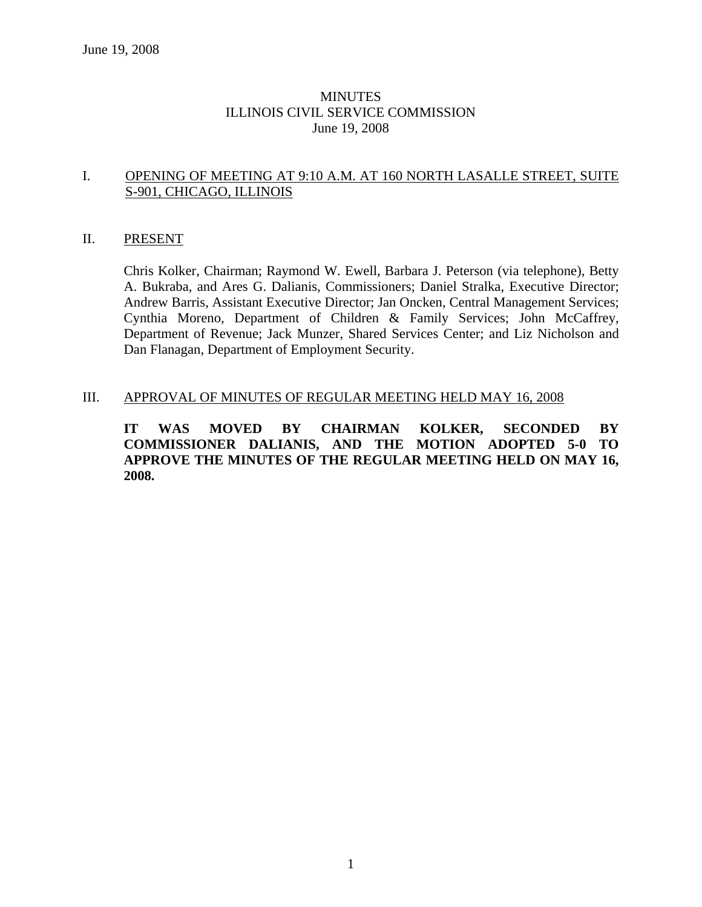## **MINUTES** ILLINOIS CIVIL SERVICE COMMISSION June 19, 2008

## I. OPENING OF MEETING AT 9:10 A.M. AT 160 NORTH LASALLE STREET, SUITE S-901, CHICAGO, ILLINOIS

#### II. PRESENT

Chris Kolker, Chairman; Raymond W. Ewell, Barbara J. Peterson (via telephone), Betty A. Bukraba, and Ares G. Dalianis, Commissioners; Daniel Stralka, Executive Director; Andrew Barris, Assistant Executive Director; Jan Oncken, Central Management Services; Cynthia Moreno, Department of Children & Family Services; John McCaffrey, Department of Revenue; Jack Munzer, Shared Services Center; and Liz Nicholson and Dan Flanagan, Department of Employment Security.

#### III. APPROVAL OF MINUTES OF REGULAR MEETING HELD MAY 16, 2008

**IT WAS MOVED BY CHAIRMAN KOLKER, SECONDED BY COMMISSIONER DALIANIS, AND THE MOTION ADOPTED 5-0 TO APPROVE THE MINUTES OF THE REGULAR MEETING HELD ON MAY 16, 2008.**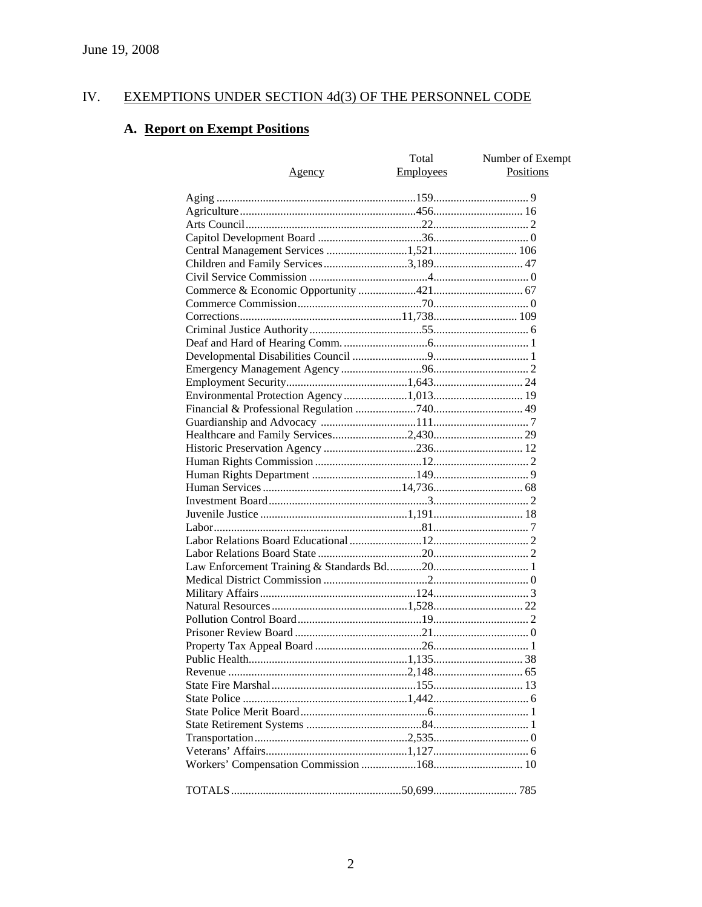#### IV. **EXEMPTIONS UNDER SECTION 4d(3) OF THE PERSONNEL CODE**

# A. Report on Exempt Positions

| <u>Agency</u>                        | Total<br><b>Employees</b> | Number of Exempt<br><b>Positions</b> |
|--------------------------------------|---------------------------|--------------------------------------|
|                                      |                           |                                      |
|                                      |                           |                                      |
|                                      |                           |                                      |
|                                      |                           |                                      |
|                                      |                           |                                      |
| Children and Family Services3,189 47 |                           |                                      |
|                                      |                           |                                      |
|                                      |                           |                                      |
|                                      |                           |                                      |
|                                      |                           |                                      |
|                                      |                           |                                      |
|                                      |                           |                                      |
|                                      |                           |                                      |
|                                      |                           |                                      |
|                                      |                           |                                      |
|                                      |                           |                                      |
|                                      |                           |                                      |
|                                      |                           |                                      |
|                                      |                           |                                      |
|                                      |                           |                                      |
|                                      |                           |                                      |
|                                      |                           |                                      |
|                                      |                           |                                      |
|                                      |                           |                                      |
|                                      |                           |                                      |
|                                      |                           |                                      |
|                                      |                           |                                      |
|                                      |                           |                                      |
|                                      |                           |                                      |
|                                      |                           |                                      |
|                                      |                           |                                      |
|                                      |                           |                                      |
|                                      |                           |                                      |
|                                      |                           |                                      |
|                                      |                           |                                      |
|                                      |                           |                                      |
|                                      |                           |                                      |
|                                      |                           |                                      |
|                                      |                           |                                      |
|                                      |                           |                                      |
|                                      |                           |                                      |
|                                      |                           |                                      |
|                                      |                           |                                      |
|                                      |                           |                                      |
|                                      |                           |                                      |
|                                      |                           |                                      |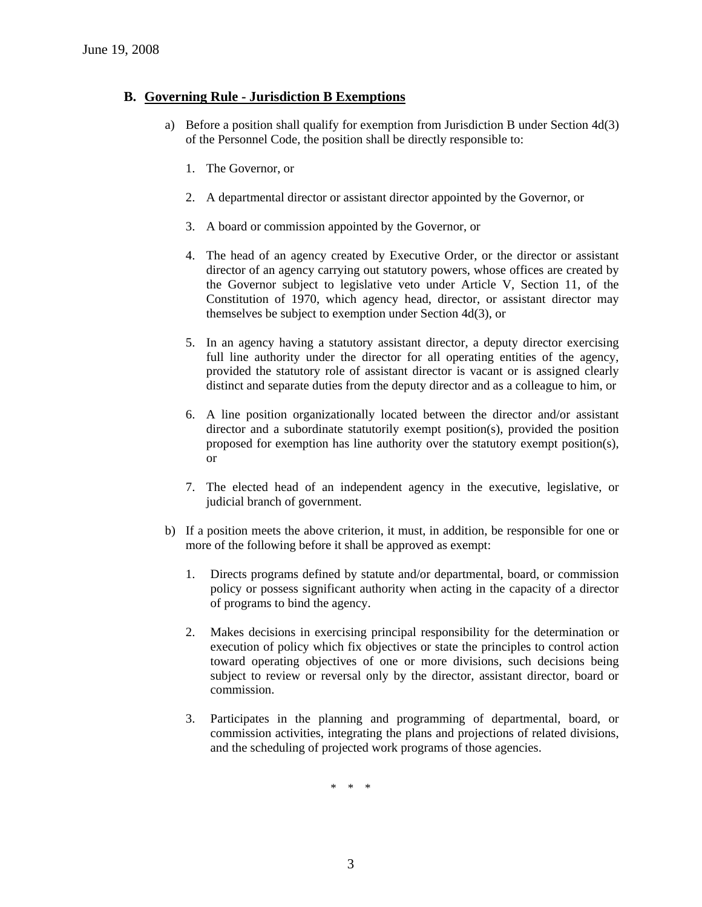## **B. Governing Rule - Jurisdiction B Exemptions**

- a) Before a position shall qualify for exemption from Jurisdiction B under Section 4d(3) of the Personnel Code, the position shall be directly responsible to:
	- 1. The Governor, or
	- 2. A departmental director or assistant director appointed by the Governor, or
	- 3. A board or commission appointed by the Governor, or
	- 4. The head of an agency created by Executive Order, or the director or assistant director of an agency carrying out statutory powers, whose offices are created by the Governor subject to legislative veto under Article V, Section 11, of the Constitution of 1970, which agency head, director, or assistant director may themselves be subject to exemption under Section 4d(3), or
	- 5. In an agency having a statutory assistant director, a deputy director exercising full line authority under the director for all operating entities of the agency, provided the statutory role of assistant director is vacant or is assigned clearly distinct and separate duties from the deputy director and as a colleague to him, or
	- 6. A line position organizationally located between the director and/or assistant director and a subordinate statutorily exempt position(s), provided the position proposed for exemption has line authority over the statutory exempt position(s), or
	- 7. The elected head of an independent agency in the executive, legislative, or judicial branch of government.
- b) If a position meets the above criterion, it must, in addition, be responsible for one or more of the following before it shall be approved as exempt:
	- 1. Directs programs defined by statute and/or departmental, board, or commission policy or possess significant authority when acting in the capacity of a director of programs to bind the agency.
	- 2. Makes decisions in exercising principal responsibility for the determination or execution of policy which fix objectives or state the principles to control action toward operating objectives of one or more divisions, such decisions being subject to review or reversal only by the director, assistant director, board or commission.
	- 3. Participates in the planning and programming of departmental, board, or commission activities, integrating the plans and projections of related divisions, and the scheduling of projected work programs of those agencies.

\* \* \*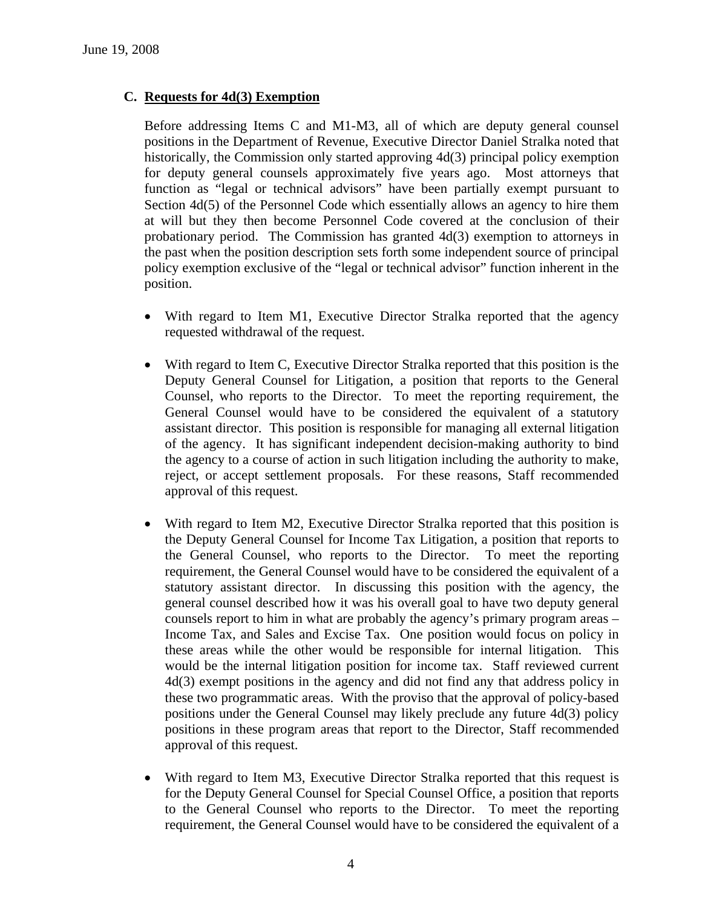## **C. Requests for 4d(3) Exemption**

Before addressing Items C and M1-M3, all of which are deputy general counsel positions in the Department of Revenue, Executive Director Daniel Stralka noted that historically, the Commission only started approving 4d(3) principal policy exemption for deputy general counsels approximately five years ago. Most attorneys that function as "legal or technical advisors" have been partially exempt pursuant to Section 4d(5) of the Personnel Code which essentially allows an agency to hire them at will but they then become Personnel Code covered at the conclusion of their probationary period. The Commission has granted 4d(3) exemption to attorneys in the past when the position description sets forth some independent source of principal policy exemption exclusive of the "legal or technical advisor" function inherent in the position.

- With regard to Item M1, Executive Director Stralka reported that the agency requested withdrawal of the request.
- With regard to Item C, Executive Director Stralka reported that this position is the Deputy General Counsel for Litigation, a position that reports to the General Counsel, who reports to the Director. To meet the reporting requirement, the General Counsel would have to be considered the equivalent of a statutory assistant director. This position is responsible for managing all external litigation of the agency. It has significant independent decision-making authority to bind the agency to a course of action in such litigation including the authority to make, reject, or accept settlement proposals. For these reasons, Staff recommended approval of this request.
- With regard to Item M2, Executive Director Stralka reported that this position is the Deputy General Counsel for Income Tax Litigation, a position that reports to the General Counsel, who reports to the Director. To meet the reporting requirement, the General Counsel would have to be considered the equivalent of a statutory assistant director. In discussing this position with the agency, the general counsel described how it was his overall goal to have two deputy general counsels report to him in what are probably the agency's primary program areas – Income Tax, and Sales and Excise Tax. One position would focus on policy in these areas while the other would be responsible for internal litigation. This would be the internal litigation position for income tax. Staff reviewed current 4d(3) exempt positions in the agency and did not find any that address policy in these two programmatic areas. With the proviso that the approval of policy-based positions under the General Counsel may likely preclude any future 4d(3) policy positions in these program areas that report to the Director, Staff recommended approval of this request.
- With regard to Item M3, Executive Director Stralka reported that this request is for the Deputy General Counsel for Special Counsel Office, a position that reports to the General Counsel who reports to the Director. To meet the reporting requirement, the General Counsel would have to be considered the equivalent of a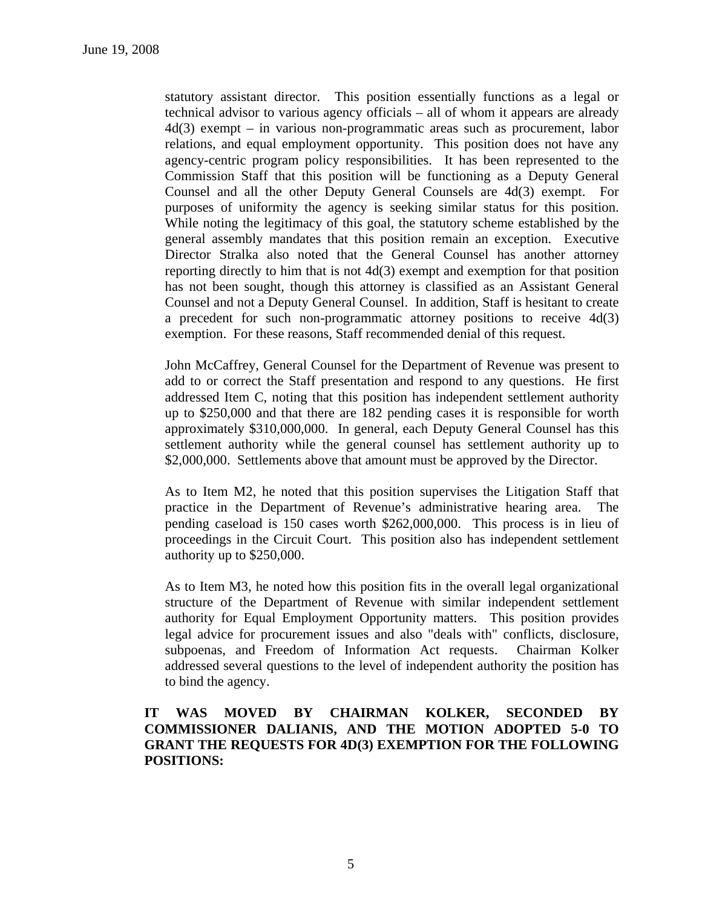statutory assistant director. This position essentially functions as a legal or technical advisor to various agency officials – all of whom it appears are already 4d(3) exempt – in various non-programmatic areas such as procurement, labor relations, and equal employment opportunity. This position does not have any agency-centric program policy responsibilities. It has been represented to the Commission Staff that this position will be functioning as a Deputy General Counsel and all the other Deputy General Counsels are 4d(3) exempt. For purposes of uniformity the agency is seeking similar status for this position. While noting the legitimacy of this goal, the statutory scheme established by the general assembly mandates that this position remain an exception. Executive Director Stralka also noted that the General Counsel has another attorney reporting directly to him that is not 4d(3) exempt and exemption for that position has not been sought, though this attorney is classified as an Assistant General Counsel and not a Deputy General Counsel. In addition, Staff is hesitant to create a precedent for such non-programmatic attorney positions to receive 4d(3) exemption. For these reasons, Staff recommended denial of this request.

John McCaffrey, General Counsel for the Department of Revenue was present to add to or correct the Staff presentation and respond to any questions. He first addressed Item C, noting that this position has independent settlement authority up to \$250,000 and that there are 182 pending cases it is responsible for worth approximately \$310,000,000. In general, each Deputy General Counsel has this settlement authority while the general counsel has settlement authority up to \$2,000,000. Settlements above that amount must be approved by the Director.

As to Item M2, he noted that this position supervises the Litigation Staff that practice in the Department of Revenue's administrative hearing area. The pending caseload is 150 cases worth \$262,000,000. This process is in lieu of proceedings in the Circuit Court. This position also has independent settlement authority up to \$250,000.

As to Item M3, he noted how this position fits in the overall legal organizational structure of the Department of Revenue with similar independent settlement authority for Equal Employment Opportunity matters. This position provides legal advice for procurement issues and also "deals with" conflicts, disclosure, subpoenas, and Freedom of Information Act requests. Chairman Kolker addressed several questions to the level of independent authority the position has to bind the agency.

## **IT WAS MOVED BY CHAIRMAN KOLKER, SECONDED BY COMMISSIONER DALIANIS, AND THE MOTION ADOPTED 5-0 TO GRANT THE REQUESTS FOR 4D(3) EXEMPTION FOR THE FOLLOWING POSITIONS:**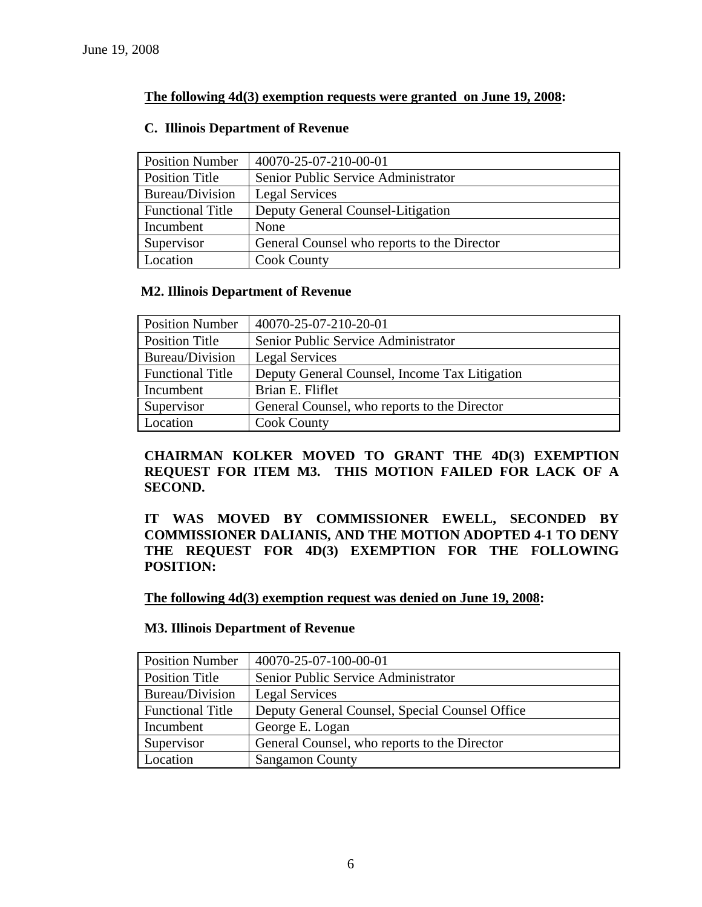## **The following 4d(3) exemption requests were granted on June 19, 2008:**

| <b>Position Number</b>  | 40070-25-07-210-00-01                       |
|-------------------------|---------------------------------------------|
| <b>Position Title</b>   | Senior Public Service Administrator         |
| Bureau/Division         | Legal Services                              |
| <b>Functional Title</b> | Deputy General Counsel-Litigation           |
| Incumbent               | None                                        |
| Supervisor              | General Counsel who reports to the Director |
| Location                | <b>Cook County</b>                          |

### **C. Illinois Department of Revenue**

## **M2. Illinois Department of Revenue**

| <b>Position Number</b>  | 40070-25-07-210-20-01                         |
|-------------------------|-----------------------------------------------|
| Position Title          | Senior Public Service Administrator           |
| Bureau/Division         | <b>Legal Services</b>                         |
| <b>Functional Title</b> | Deputy General Counsel, Income Tax Litigation |
| Incumbent               | Brian E. Fliflet                              |
| Supervisor              | General Counsel, who reports to the Director  |
| Location                | <b>Cook County</b>                            |

**CHAIRMAN KOLKER MOVED TO GRANT THE 4D(3) EXEMPTION REQUEST FOR ITEM M3. THIS MOTION FAILED FOR LACK OF A SECOND.** 

**IT WAS MOVED BY COMMISSIONER EWELL, SECONDED BY COMMISSIONER DALIANIS, AND THE MOTION ADOPTED 4-1 TO DENY THE REQUEST FOR 4D(3) EXEMPTION FOR THE FOLLOWING POSITION:** 

**The following 4d(3) exemption request was denied on June 19, 2008:**

### **M3. Illinois Department of Revenue**

| <b>Position Number</b>  | 40070-25-07-100-00-01                          |
|-------------------------|------------------------------------------------|
| Position Title          | Senior Public Service Administrator            |
| Bureau/Division         | Legal Services                                 |
| <b>Functional Title</b> | Deputy General Counsel, Special Counsel Office |
| Incumbent               | George E. Logan                                |
| Supervisor              | General Counsel, who reports to the Director   |
| Location                | <b>Sangamon County</b>                         |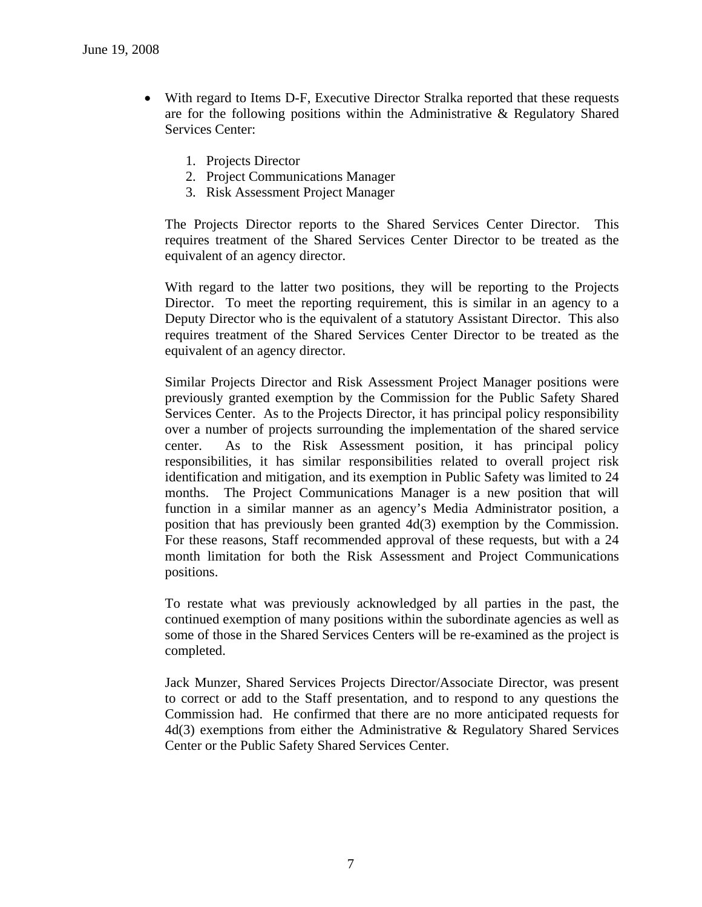- With regard to Items D-F, Executive Director Stralka reported that these requests are for the following positions within the Administrative & Regulatory Shared Services Center:
	- 1. Projects Director
	- 2. Project Communications Manager
	- 3. Risk Assessment Project Manager

The Projects Director reports to the Shared Services Center Director. This requires treatment of the Shared Services Center Director to be treated as the equivalent of an agency director.

With regard to the latter two positions, they will be reporting to the Projects Director. To meet the reporting requirement, this is similar in an agency to a Deputy Director who is the equivalent of a statutory Assistant Director. This also requires treatment of the Shared Services Center Director to be treated as the equivalent of an agency director.

Similar Projects Director and Risk Assessment Project Manager positions were previously granted exemption by the Commission for the Public Safety Shared Services Center. As to the Projects Director, it has principal policy responsibility over a number of projects surrounding the implementation of the shared service center. As to the Risk Assessment position, it has principal policy responsibilities, it has similar responsibilities related to overall project risk identification and mitigation, and its exemption in Public Safety was limited to 24 months. The Project Communications Manager is a new position that will function in a similar manner as an agency's Media Administrator position, a position that has previously been granted 4d(3) exemption by the Commission. For these reasons, Staff recommended approval of these requests, but with a 24 month limitation for both the Risk Assessment and Project Communications positions.

To restate what was previously acknowledged by all parties in the past, the continued exemption of many positions within the subordinate agencies as well as some of those in the Shared Services Centers will be re-examined as the project is completed.

Jack Munzer, Shared Services Projects Director/Associate Director, was present to correct or add to the Staff presentation, and to respond to any questions the Commission had. He confirmed that there are no more anticipated requests for 4d(3) exemptions from either the Administrative & Regulatory Shared Services Center or the Public Safety Shared Services Center.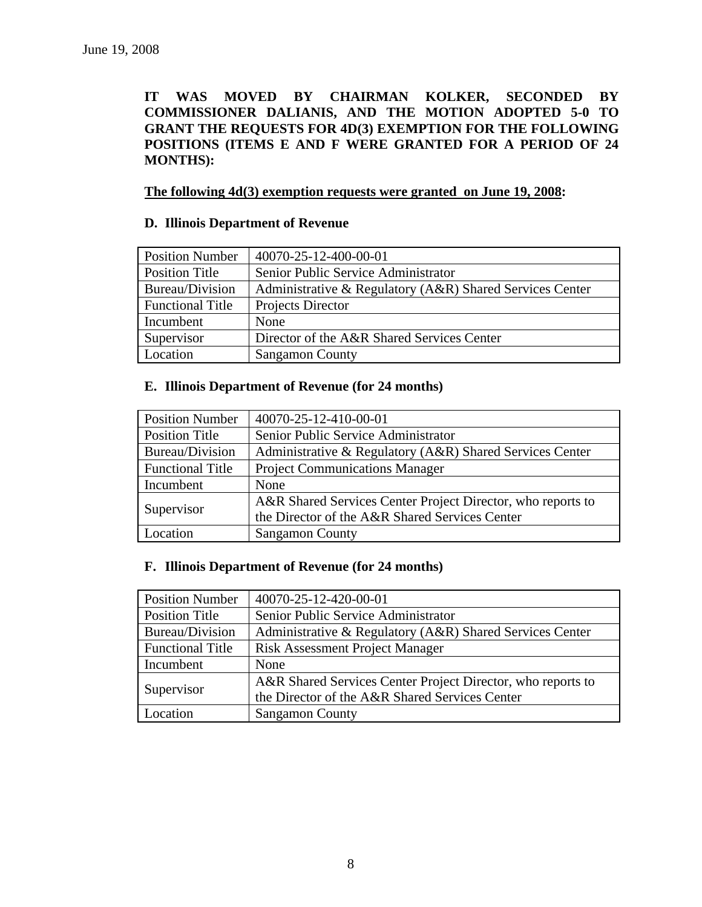**IT WAS MOVED BY CHAIRMAN KOLKER, SECONDED BY COMMISSIONER DALIANIS, AND THE MOTION ADOPTED 5-0 TO GRANT THE REQUESTS FOR 4D(3) EXEMPTION FOR THE FOLLOWING POSITIONS (ITEMS E AND F WERE GRANTED FOR A PERIOD OF 24 MONTHS):** 

### **The following 4d(3) exemption requests were granted on June 19, 2008:**

## **D. Illinois Department of Revenue**

| <b>Position Number</b>  | 40070-25-12-400-00-01                                    |
|-------------------------|----------------------------------------------------------|
| Position Title          | Senior Public Service Administrator                      |
| Bureau/Division         | Administrative & Regulatory (A&R) Shared Services Center |
| <b>Functional Title</b> | Projects Director                                        |
| Incumbent               | None                                                     |
| Supervisor              | Director of the A&R Shared Services Center               |
| Location                | <b>Sangamon County</b>                                   |

#### **E. Illinois Department of Revenue (for 24 months)**

| <b>Position Number</b>  | 40070-25-12-410-00-01                                       |
|-------------------------|-------------------------------------------------------------|
| <b>Position Title</b>   | Senior Public Service Administrator                         |
| Bureau/Division         | Administrative & Regulatory (A&R) Shared Services Center    |
| <b>Functional Title</b> | <b>Project Communications Manager</b>                       |
| Incumbent               | None                                                        |
| Supervisor              | A&R Shared Services Center Project Director, who reports to |
|                         | the Director of the A&R Shared Services Center              |
| Location                | <b>Sangamon County</b>                                      |

## **F. Illinois Department of Revenue (for 24 months)**

| <b>Position Number</b>  | 40070-25-12-420-00-01                                       |
|-------------------------|-------------------------------------------------------------|
| <b>Position Title</b>   | Senior Public Service Administrator                         |
| Bureau/Division         | Administrative & Regulatory (A&R) Shared Services Center    |
| <b>Functional Title</b> | <b>Risk Assessment Project Manager</b>                      |
| Incumbent               | None                                                        |
| Supervisor              | A&R Shared Services Center Project Director, who reports to |
|                         | the Director of the A&R Shared Services Center              |
| Location                | <b>Sangamon County</b>                                      |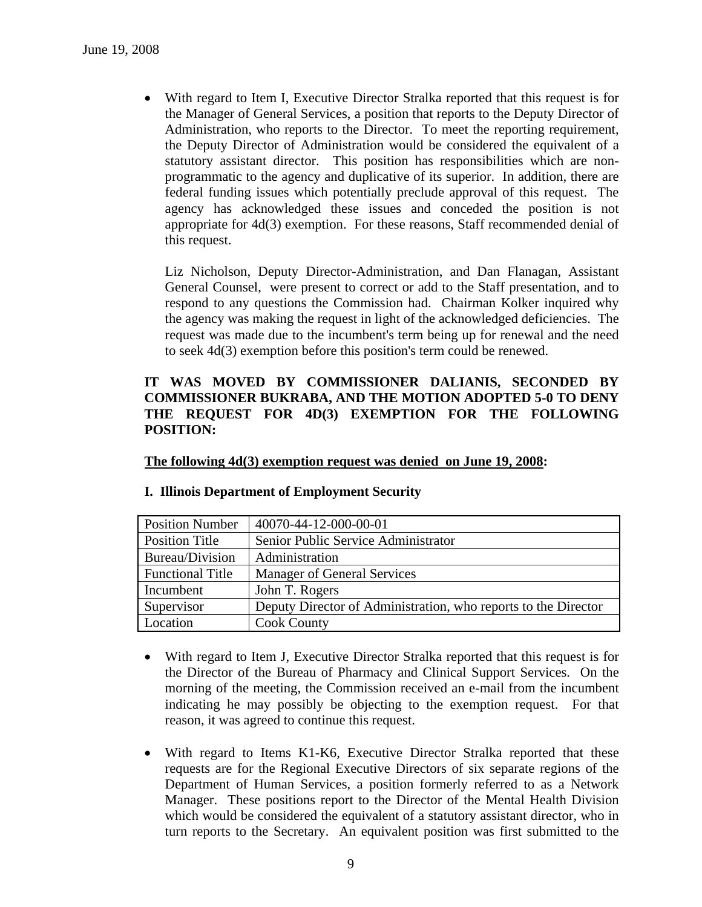• With regard to Item I, Executive Director Stralka reported that this request is for the Manager of General Services, a position that reports to the Deputy Director of Administration, who reports to the Director. To meet the reporting requirement, the Deputy Director of Administration would be considered the equivalent of a statutory assistant director. This position has responsibilities which are nonprogrammatic to the agency and duplicative of its superior. In addition, there are federal funding issues which potentially preclude approval of this request. The agency has acknowledged these issues and conceded the position is not appropriate for 4d(3) exemption. For these reasons, Staff recommended denial of this request.

Liz Nicholson, Deputy Director-Administration, and Dan Flanagan, Assistant General Counsel, were present to correct or add to the Staff presentation, and to respond to any questions the Commission had. Chairman Kolker inquired why the agency was making the request in light of the acknowledged deficiencies. The request was made due to the incumbent's term being up for renewal and the need to seek 4d(3) exemption before this position's term could be renewed.

## **IT WAS MOVED BY COMMISSIONER DALIANIS, SECONDED BY COMMISSIONER BUKRABA, AND THE MOTION ADOPTED 5-0 TO DENY THE REQUEST FOR 4D(3) EXEMPTION FOR THE FOLLOWING POSITION:**

**The following 4d(3) exemption request was denied on June 19, 2008:**

| <b>Position Number</b>  | 40070-44-12-000-00-01                                          |
|-------------------------|----------------------------------------------------------------|
| Position Title          | Senior Public Service Administrator                            |
| Bureau/Division         | Administration                                                 |
| <b>Functional Title</b> | <b>Manager of General Services</b>                             |
| Incumbent               | John T. Rogers                                                 |
| Supervisor              | Deputy Director of Administration, who reports to the Director |
| Location                | <b>Cook County</b>                                             |

### **I. Illinois Department of Employment Security**

- With regard to Item J, Executive Director Stralka reported that this request is for the Director of the Bureau of Pharmacy and Clinical Support Services. On the morning of the meeting, the Commission received an e-mail from the incumbent indicating he may possibly be objecting to the exemption request. For that reason, it was agreed to continue this request.
- With regard to Items K1-K6, Executive Director Stralka reported that these requests are for the Regional Executive Directors of six separate regions of the Department of Human Services, a position formerly referred to as a Network Manager. These positions report to the Director of the Mental Health Division which would be considered the equivalent of a statutory assistant director, who in turn reports to the Secretary. An equivalent position was first submitted to the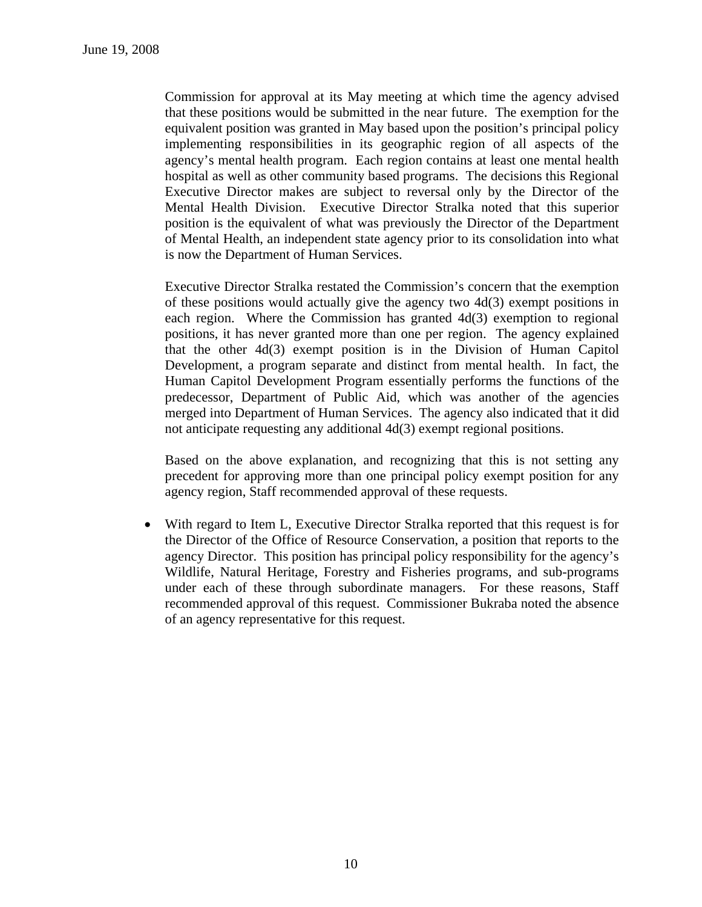Commission for approval at its May meeting at which time the agency advised that these positions would be submitted in the near future. The exemption for the equivalent position was granted in May based upon the position's principal policy implementing responsibilities in its geographic region of all aspects of the agency's mental health program. Each region contains at least one mental health hospital as well as other community based programs. The decisions this Regional Executive Director makes are subject to reversal only by the Director of the Mental Health Division. Executive Director Stralka noted that this superior position is the equivalent of what was previously the Director of the Department of Mental Health, an independent state agency prior to its consolidation into what is now the Department of Human Services.

Executive Director Stralka restated the Commission's concern that the exemption of these positions would actually give the agency two 4d(3) exempt positions in each region. Where the Commission has granted  $4d(3)$  exemption to regional positions, it has never granted more than one per region. The agency explained that the other 4d(3) exempt position is in the Division of Human Capitol Development, a program separate and distinct from mental health. In fact, the Human Capitol Development Program essentially performs the functions of the predecessor, Department of Public Aid, which was another of the agencies merged into Department of Human Services. The agency also indicated that it did not anticipate requesting any additional 4d(3) exempt regional positions.

Based on the above explanation, and recognizing that this is not setting any precedent for approving more than one principal policy exempt position for any agency region, Staff recommended approval of these requests.

• With regard to Item L, Executive Director Stralka reported that this request is for the Director of the Office of Resource Conservation, a position that reports to the agency Director. This position has principal policy responsibility for the agency's Wildlife, Natural Heritage, Forestry and Fisheries programs, and sub-programs under each of these through subordinate managers. For these reasons, Staff recommended approval of this request. Commissioner Bukraba noted the absence of an agency representative for this request.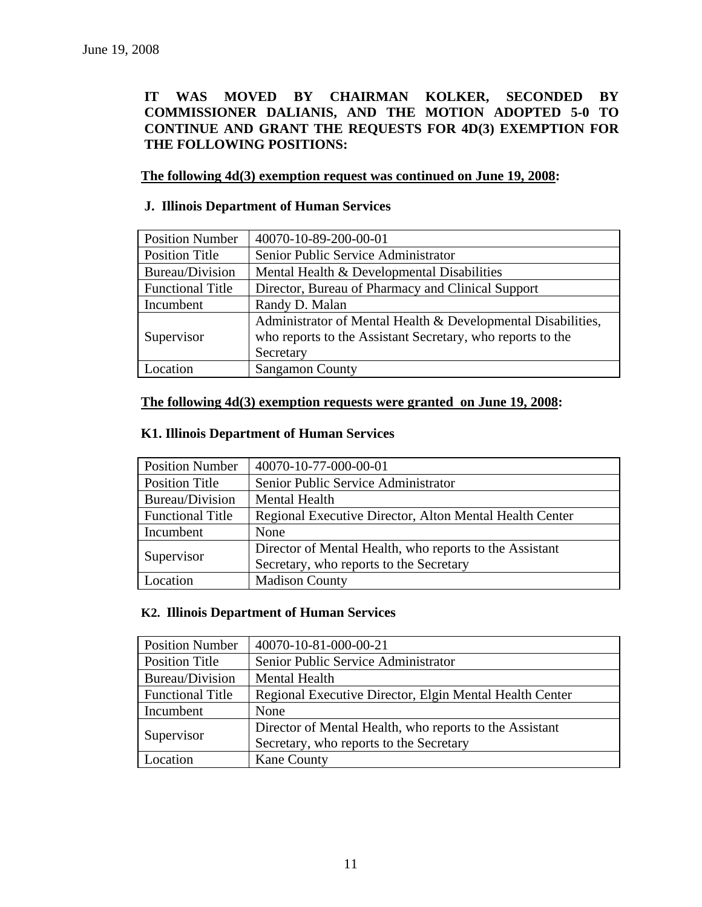## **IT WAS MOVED BY CHAIRMAN KOLKER, SECONDED BY COMMISSIONER DALIANIS, AND THE MOTION ADOPTED 5-0 TO CONTINUE AND GRANT THE REQUESTS FOR 4D(3) EXEMPTION FOR THE FOLLOWING POSITIONS:**

 **The following 4d(3) exemption request was continued on June 19, 2008:**

## **J. Illinois Department of Human Services**

| <b>Position Number</b>  | 40070-10-89-200-00-01                                        |
|-------------------------|--------------------------------------------------------------|
| <b>Position Title</b>   | Senior Public Service Administrator                          |
| Bureau/Division         | Mental Health & Developmental Disabilities                   |
| <b>Functional Title</b> | Director, Bureau of Pharmacy and Clinical Support            |
| Incumbent               | Randy D. Malan                                               |
|                         | Administrator of Mental Health & Developmental Disabilities, |
| Supervisor              | who reports to the Assistant Secretary, who reports to the   |
|                         | Secretary                                                    |
| Location                | <b>Sangamon County</b>                                       |

## **The following 4d(3) exemption requests were granted on June 19, 2008:**

## **K1. Illinois Department of Human Services**

| <b>Position Number</b>  | 40070-10-77-000-00-01                                   |
|-------------------------|---------------------------------------------------------|
| <b>Position Title</b>   | Senior Public Service Administrator                     |
| Bureau/Division         | <b>Mental Health</b>                                    |
| <b>Functional Title</b> | Regional Executive Director, Alton Mental Health Center |
| Incumbent               | None                                                    |
| Supervisor              | Director of Mental Health, who reports to the Assistant |
|                         | Secretary, who reports to the Secretary                 |
| Location                | <b>Madison County</b>                                   |

### **K2. Illinois Department of Human Services**

| <b>Position Number</b>  | 40070-10-81-000-00-21                                   |
|-------------------------|---------------------------------------------------------|
| <b>Position Title</b>   | Senior Public Service Administrator                     |
| Bureau/Division         | <b>Mental Health</b>                                    |
| <b>Functional Title</b> | Regional Executive Director, Elgin Mental Health Center |
| Incumbent               | None                                                    |
| Supervisor              | Director of Mental Health, who reports to the Assistant |
|                         | Secretary, who reports to the Secretary                 |
| Location                | <b>Kane County</b>                                      |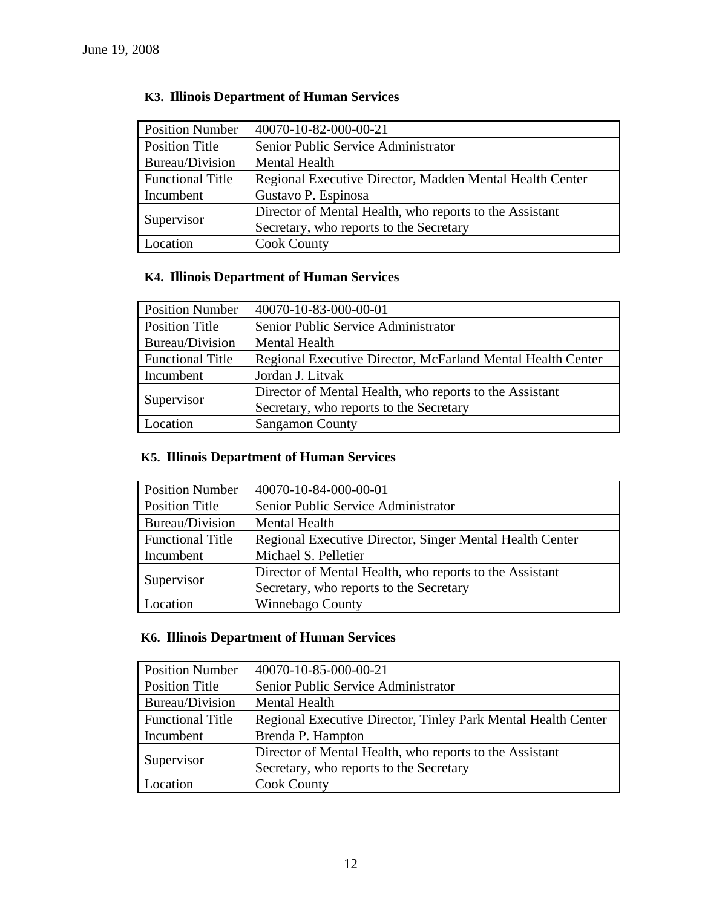| <b>Position Number</b>  | 40070-10-82-000-00-21                                    |
|-------------------------|----------------------------------------------------------|
| <b>Position Title</b>   | Senior Public Service Administrator                      |
| Bureau/Division         | <b>Mental Health</b>                                     |
| <b>Functional Title</b> | Regional Executive Director, Madden Mental Health Center |
| Incumbent               | Gustavo P. Espinosa                                      |
| Supervisor              | Director of Mental Health, who reports to the Assistant  |
|                         | Secretary, who reports to the Secretary                  |
| Location                | <b>Cook County</b>                                       |

# **K3. Illinois Department of Human Services**

## **K4. Illinois Department of Human Services**

| <b>Position Number</b>  | 40070-10-83-000-00-01                                       |
|-------------------------|-------------------------------------------------------------|
| <b>Position Title</b>   | Senior Public Service Administrator                         |
| Bureau/Division         | <b>Mental Health</b>                                        |
| <b>Functional Title</b> | Regional Executive Director, McFarland Mental Health Center |
| Incumbent               | Jordan J. Litvak                                            |
|                         | Director of Mental Health, who reports to the Assistant     |
| Supervisor              | Secretary, who reports to the Secretary                     |
| Location                | <b>Sangamon County</b>                                      |

# **K5. Illinois Department of Human Services**

| <b>Position Number</b>  | 40070-10-84-000-00-01                                    |
|-------------------------|----------------------------------------------------------|
| <b>Position Title</b>   | Senior Public Service Administrator                      |
| Bureau/Division         | <b>Mental Health</b>                                     |
| <b>Functional Title</b> | Regional Executive Director, Singer Mental Health Center |
| Incumbent               | Michael S. Pelletier                                     |
|                         | Director of Mental Health, who reports to the Assistant  |
| Supervisor              | Secretary, who reports to the Secretary                  |
| Location                | <b>Winnebago County</b>                                  |

## **K6. Illinois Department of Human Services**

| <b>Position Number</b>  | 40070-10-85-000-00-21                                         |
|-------------------------|---------------------------------------------------------------|
| Position Title          | Senior Public Service Administrator                           |
| Bureau/Division         | <b>Mental Health</b>                                          |
| <b>Functional Title</b> | Regional Executive Director, Tinley Park Mental Health Center |
| Incumbent               | Brenda P. Hampton                                             |
|                         | Director of Mental Health, who reports to the Assistant       |
| Supervisor              | Secretary, who reports to the Secretary                       |
| Location                | <b>Cook County</b>                                            |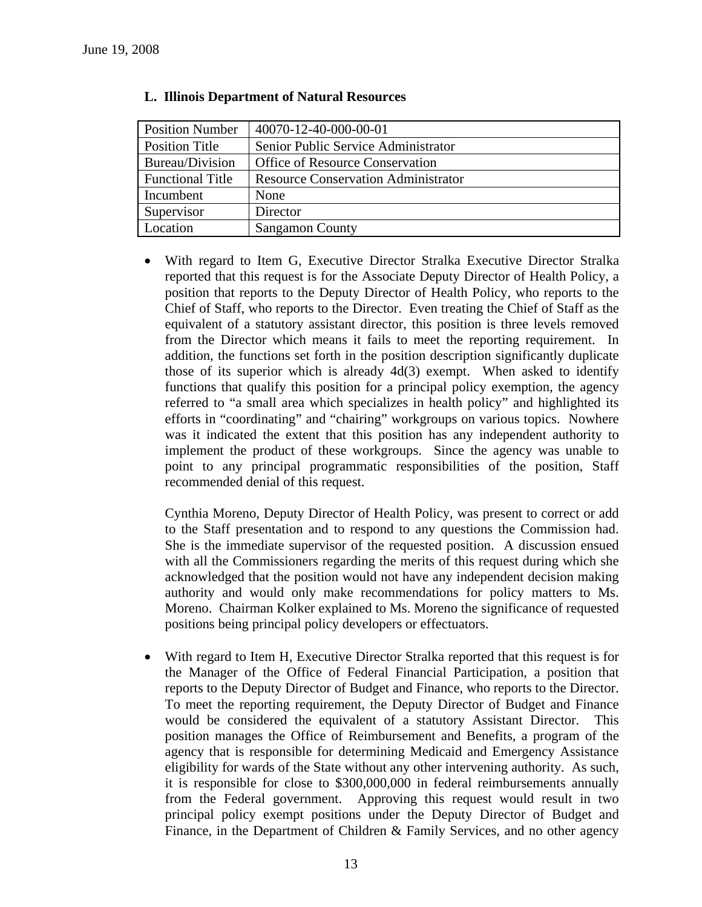| <b>Position Number</b>  | 40070-12-40-000-00-01                      |
|-------------------------|--------------------------------------------|
| Position Title          | Senior Public Service Administrator        |
| Bureau/Division         | <b>Office of Resource Conservation</b>     |
| <b>Functional Title</b> | <b>Resource Conservation Administrator</b> |
| Incumbent               | None                                       |
| Supervisor              | Director                                   |
| Location                | <b>Sangamon County</b>                     |

### **L. Illinois Department of Natural Resources**

• With regard to Item G, Executive Director Stralka Executive Director Stralka reported that this request is for the Associate Deputy Director of Health Policy, a position that reports to the Deputy Director of Health Policy, who reports to the Chief of Staff, who reports to the Director. Even treating the Chief of Staff as the equivalent of a statutory assistant director, this position is three levels removed from the Director which means it fails to meet the reporting requirement. In addition, the functions set forth in the position description significantly duplicate those of its superior which is already 4d(3) exempt. When asked to identify functions that qualify this position for a principal policy exemption, the agency referred to "a small area which specializes in health policy" and highlighted its efforts in "coordinating" and "chairing" workgroups on various topics. Nowhere was it indicated the extent that this position has any independent authority to implement the product of these workgroups. Since the agency was unable to point to any principal programmatic responsibilities of the position, Staff recommended denial of this request.

Cynthia Moreno, Deputy Director of Health Policy, was present to correct or add to the Staff presentation and to respond to any questions the Commission had. She is the immediate supervisor of the requested position. A discussion ensued with all the Commissioners regarding the merits of this request during which she acknowledged that the position would not have any independent decision making authority and would only make recommendations for policy matters to Ms. Moreno. Chairman Kolker explained to Ms. Moreno the significance of requested positions being principal policy developers or effectuators.

• With regard to Item H, Executive Director Stralka reported that this request is for the Manager of the Office of Federal Financial Participation, a position that reports to the Deputy Director of Budget and Finance, who reports to the Director. To meet the reporting requirement, the Deputy Director of Budget and Finance would be considered the equivalent of a statutory Assistant Director. This position manages the Office of Reimbursement and Benefits, a program of the agency that is responsible for determining Medicaid and Emergency Assistance eligibility for wards of the State without any other intervening authority. As such, it is responsible for close to \$300,000,000 in federal reimbursements annually from the Federal government. Approving this request would result in two principal policy exempt positions under the Deputy Director of Budget and Finance, in the Department of Children & Family Services, and no other agency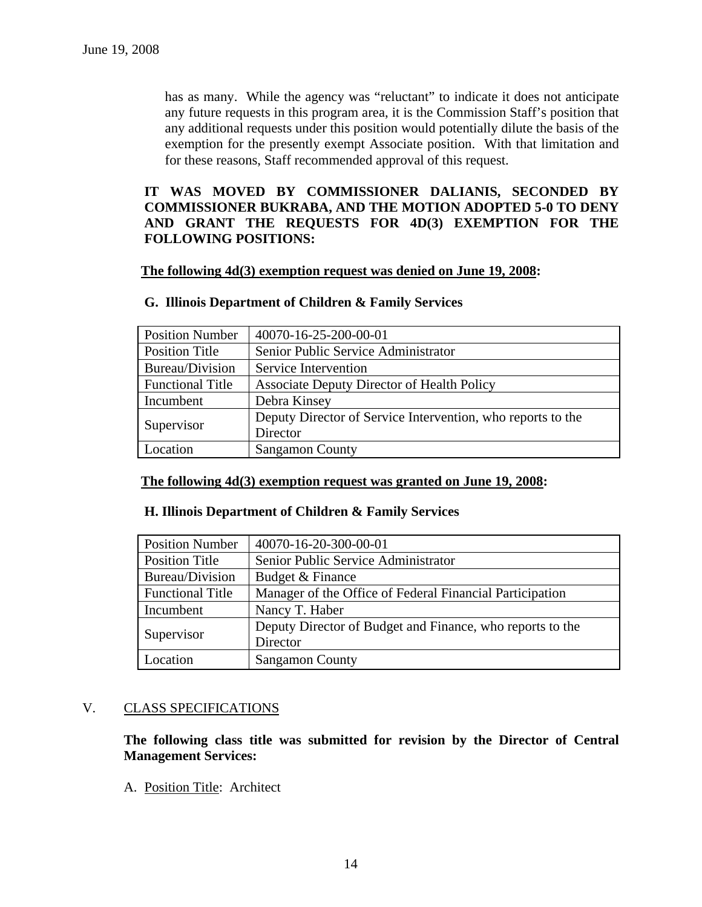has as many. While the agency was "reluctant" to indicate it does not anticipate any future requests in this program area, it is the Commission Staff's position that any additional requests under this position would potentially dilute the basis of the exemption for the presently exempt Associate position. With that limitation and for these reasons, Staff recommended approval of this request.

## **IT WAS MOVED BY COMMISSIONER DALIANIS, SECONDED BY COMMISSIONER BUKRABA, AND THE MOTION ADOPTED 5-0 TO DENY AND GRANT THE REQUESTS FOR 4D(3) EXEMPTION FOR THE FOLLOWING POSITIONS:**

#### **The following 4d(3) exemption request was denied on June 19, 2008:**

| <b>Position Number</b>  | 40070-16-25-200-00-01                                       |
|-------------------------|-------------------------------------------------------------|
| <b>Position Title</b>   | Senior Public Service Administrator                         |
| Bureau/Division         | Service Intervention                                        |
| <b>Functional Title</b> | <b>Associate Deputy Director of Health Policy</b>           |
| Incumbent               | Debra Kinsey                                                |
|                         | Deputy Director of Service Intervention, who reports to the |
| Supervisor              | Director                                                    |
| Location                | <b>Sangamon County</b>                                      |

#### **G. Illinois Department of Children & Family Services**

### **The following 4d(3) exemption request was granted on June 19, 2008:**

#### **H. Illinois Department of Children & Family Services**

| <b>Position Number</b>  | 40070-16-20-300-00-01                                                 |
|-------------------------|-----------------------------------------------------------------------|
| <b>Position Title</b>   | Senior Public Service Administrator                                   |
| Bureau/Division         | Budget & Finance                                                      |
| <b>Functional Title</b> | Manager of the Office of Federal Financial Participation              |
| Incumbent               | Nancy T. Haber                                                        |
| Supervisor              | Deputy Director of Budget and Finance, who reports to the<br>Director |
| Location                | <b>Sangamon County</b>                                                |

### V. CLASS SPECIFICATIONS

**The following class title was submitted for revision by the Director of Central Management Services:** 

A. Position Title: Architect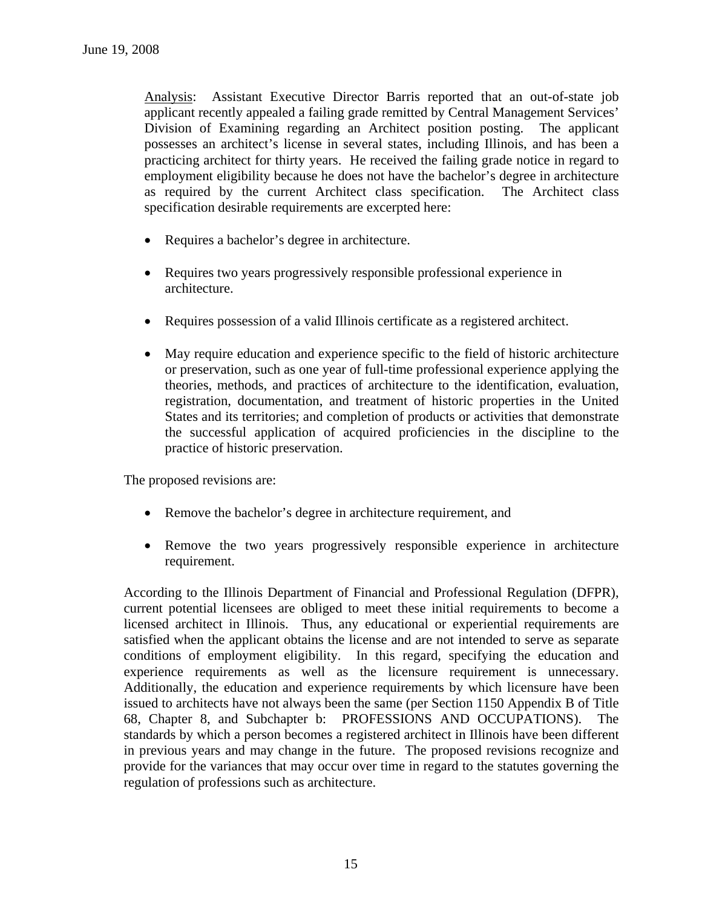Analysis: Assistant Executive Director Barris reported that an out-of-state job applicant recently appealed a failing grade remitted by Central Management Services' Division of Examining regarding an Architect position posting. The applicant possesses an architect's license in several states, including Illinois, and has been a practicing architect for thirty years. He received the failing grade notice in regard to employment eligibility because he does not have the bachelor's degree in architecture as required by the current Architect class specification. The Architect class specification desirable requirements are excerpted here:

- Requires a bachelor's degree in architecture.
- Requires two years progressively responsible professional experience in architecture.
- Requires possession of a valid Illinois certificate as a registered architect.
- May require education and experience specific to the field of historic architecture or preservation, such as one year of full-time professional experience applying the theories, methods, and practices of architecture to the identification, evaluation, registration, documentation, and treatment of historic properties in the United States and its territories; and completion of products or activities that demonstrate the successful application of acquired proficiencies in the discipline to the practice of historic preservation.

The proposed revisions are:

- Remove the bachelor's degree in architecture requirement, and
- Remove the two years progressively responsible experience in architecture requirement.

According to the Illinois Department of Financial and Professional Regulation (DFPR), current potential licensees are obliged to meet these initial requirements to become a licensed architect in Illinois. Thus, any educational or experiential requirements are satisfied when the applicant obtains the license and are not intended to serve as separate conditions of employment eligibility. In this regard, specifying the education and experience requirements as well as the licensure requirement is unnecessary. Additionally, the education and experience requirements by which licensure have been issued to architects have not always been the same (per Section 1150 Appendix B of Title 68, Chapter 8, and Subchapter b: PROFESSIONS AND OCCUPATIONS). The standards by which a person becomes a registered architect in Illinois have been different in previous years and may change in the future. The proposed revisions recognize and provide for the variances that may occur over time in regard to the statutes governing the regulation of professions such as architecture.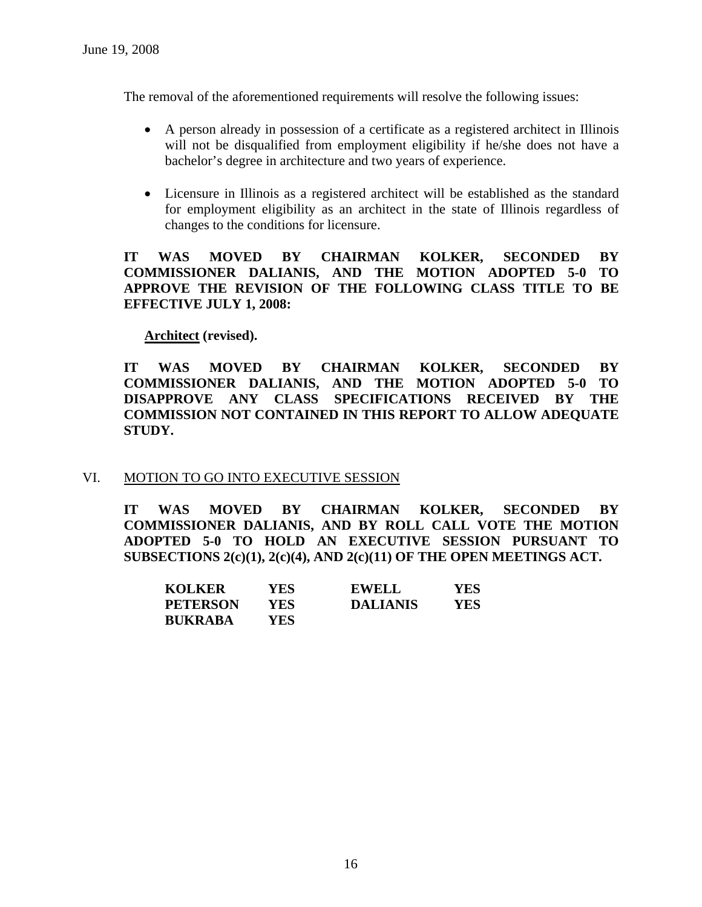The removal of the aforementioned requirements will resolve the following issues:

- A person already in possession of a certificate as a registered architect in Illinois will not be disqualified from employment eligibility if he/she does not have a bachelor's degree in architecture and two years of experience.
- Licensure in Illinois as a registered architect will be established as the standard for employment eligibility as an architect in the state of Illinois regardless of changes to the conditions for licensure.

**IT WAS MOVED BY CHAIRMAN KOLKER, SECONDED BY COMMISSIONER DALIANIS, AND THE MOTION ADOPTED 5-0 TO APPROVE THE REVISION OF THE FOLLOWING CLASS TITLE TO BE EFFECTIVE JULY 1, 2008:** 

## **Architect (revised).**

**IT WAS MOVED BY CHAIRMAN KOLKER, SECONDED BY COMMISSIONER DALIANIS, AND THE MOTION ADOPTED 5-0 TO DISAPPROVE ANY CLASS SPECIFICATIONS RECEIVED BY THE COMMISSION NOT CONTAINED IN THIS REPORT TO ALLOW ADEQUATE STUDY.** 

## VI. MOTION TO GO INTO EXECUTIVE SESSION

**IT WAS MOVED BY CHAIRMAN KOLKER, SECONDED BY COMMISSIONER DALIANIS, AND BY ROLL CALL VOTE THE MOTION ADOPTED 5-0 TO HOLD AN EXECUTIVE SESSION PURSUANT TO SUBSECTIONS 2(c)(1), 2(c)(4), AND 2(c)(11) OF THE OPEN MEETINGS ACT.** 

| <b>KOLKER</b>   | YES  | <b>EWELL</b>    | YES |
|-----------------|------|-----------------|-----|
| <b>PETERSON</b> | YES. | <b>DALIANIS</b> | YES |
| <b>BUKRABA</b>  | YES  |                 |     |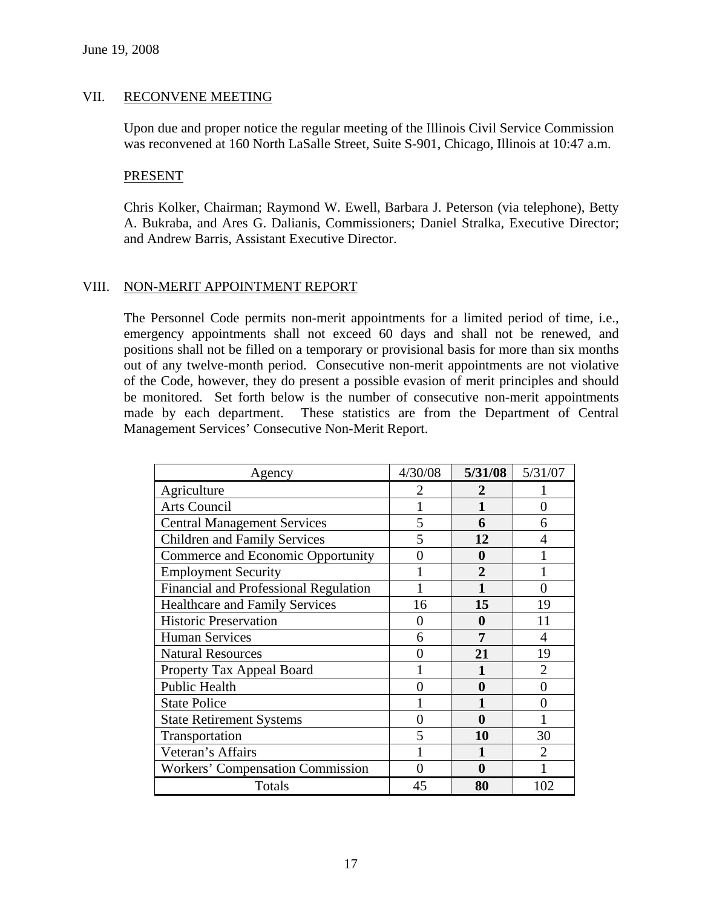## VII. RECONVENE MEETING

Upon due and proper notice the regular meeting of the Illinois Civil Service Commission was reconvened at 160 North LaSalle Street, Suite S-901, Chicago, Illinois at 10:47 a.m.

### PRESENT

Chris Kolker, Chairman; Raymond W. Ewell, Barbara J. Peterson (via telephone), Betty A. Bukraba, and Ares G. Dalianis, Commissioners; Daniel Stralka, Executive Director; and Andrew Barris, Assistant Executive Director.

## VIII. NON-MERIT APPOINTMENT REPORT

The Personnel Code permits non-merit appointments for a limited period of time, i.e., emergency appointments shall not exceed 60 days and shall not be renewed, and positions shall not be filled on a temporary or provisional basis for more than six months out of any twelve-month period. Consecutive non-merit appointments are not violative of the Code, however, they do present a possible evasion of merit principles and should be monitored. Set forth below is the number of consecutive non-merit appointments made by each department. These statistics are from the Department of Central Management Services' Consecutive Non-Merit Report.

| Agency                                | 4/30/08 | 5/31/08        | 5/31/07        |
|---------------------------------------|---------|----------------|----------------|
| Agriculture                           |         | 2              |                |
| <b>Arts Council</b>                   |         | 1              | 0              |
| <b>Central Management Services</b>    | 5       | 6              | 6              |
| <b>Children and Family Services</b>   | 5       | 12             | 4              |
| Commerce and Economic Opportunity     | 0       | 0              |                |
| <b>Employment Security</b>            |         | $\overline{2}$ |                |
| Financial and Professional Regulation |         | 1              | 0              |
| <b>Healthcare and Family Services</b> | 16      | 15             | 19             |
| <b>Historic Preservation</b>          | 0       | 0              | 11             |
| <b>Human Services</b>                 | 6       | 7              | $\overline{4}$ |
| <b>Natural Resources</b>              |         | 21             | 19             |
| Property Tax Appeal Board             |         |                | 2              |
| <b>Public Health</b>                  |         | $\bf{0}$       | 0              |
| <b>State Police</b>                   |         |                | 0              |
| <b>State Retirement Systems</b>       | 0       | 0              |                |
| Transportation                        | 5       | 10             | 30             |
| Veteran's Affairs                     |         |                | $\mathfrak{D}$ |
| Workers' Compensation Commission      |         | 0              |                |
| Totals                                | 45      | 80             | 102            |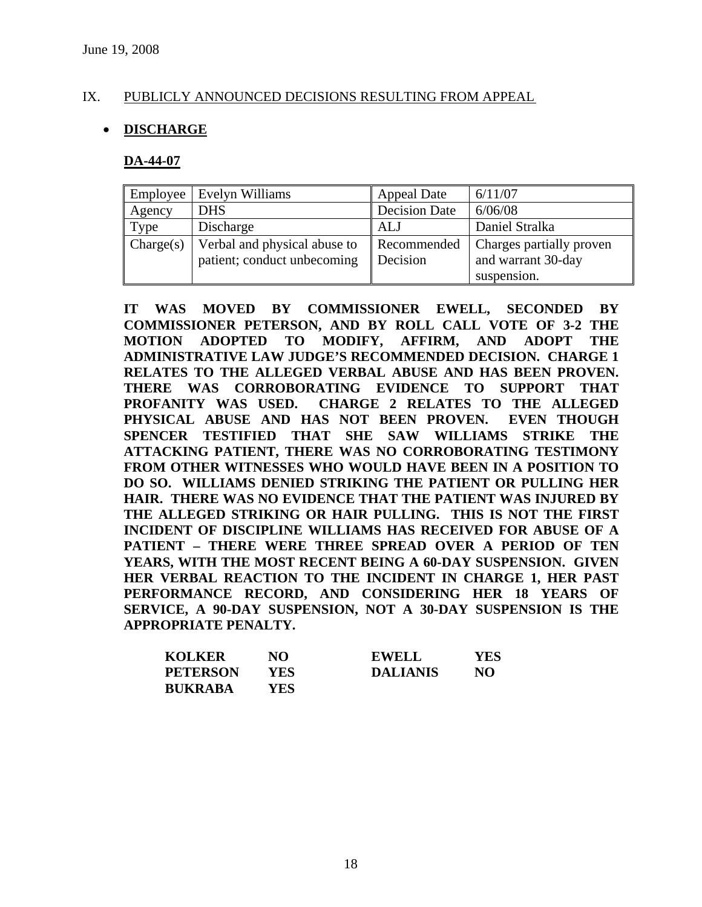## IX. PUBLICLY ANNOUNCED DECISIONS RESULTING FROM APPEAL

## • **DISCHARGE**

### **DA-44-07**

| Employee  | Evelyn Williams                                             | <b>Appeal Date</b>      | 6/11/07                                                       |
|-----------|-------------------------------------------------------------|-------------------------|---------------------------------------------------------------|
| Agency    | <b>DHS</b>                                                  | <b>Decision Date</b>    | 6/06/08                                                       |
| Type      | Discharge                                                   | ALJ                     | Daniel Stralka                                                |
| Change(s) | Verbal and physical abuse to<br>patient; conduct unbecoming | Recommended<br>Decision | Charges partially proven<br>and warrant 30-day<br>suspension. |

**IT WAS MOVED BY COMMISSIONER EWELL, SECONDED BY COMMISSIONER PETERSON, AND BY ROLL CALL VOTE OF 3-2 THE MOTION ADOPTED TO MODIFY, AFFIRM, AND ADOPT THE ADMINISTRATIVE LAW JUDGE'S RECOMMENDED DECISION. CHARGE 1 RELATES TO THE ALLEGED VERBAL ABUSE AND HAS BEEN PROVEN. THERE WAS CORROBORATING EVIDENCE TO SUPPORT THAT PROFANITY WAS USED. CHARGE 2 RELATES TO THE ALLEGED PHYSICAL ABUSE AND HAS NOT BEEN PROVEN. EVEN THOUGH SPENCER TESTIFIED THAT SHE SAW WILLIAMS STRIKE THE ATTACKING PATIENT, THERE WAS NO CORROBORATING TESTIMONY FROM OTHER WITNESSES WHO WOULD HAVE BEEN IN A POSITION TO DO SO. WILLIAMS DENIED STRIKING THE PATIENT OR PULLING HER HAIR. THERE WAS NO EVIDENCE THAT THE PATIENT WAS INJURED BY THE ALLEGED STRIKING OR HAIR PULLING. THIS IS NOT THE FIRST INCIDENT OF DISCIPLINE WILLIAMS HAS RECEIVED FOR ABUSE OF A PATIENT – THERE WERE THREE SPREAD OVER A PERIOD OF TEN YEARS, WITH THE MOST RECENT BEING A 60-DAY SUSPENSION. GIVEN HER VERBAL REACTION TO THE INCIDENT IN CHARGE 1, HER PAST PERFORMANCE RECORD, AND CONSIDERING HER 18 YEARS OF SERVICE, A 90-DAY SUSPENSION, NOT A 30-DAY SUSPENSION IS THE APPROPRIATE PENALTY.** 

| <b>KOLKER</b>   | NO  | <b>EWELL</b>    | YES |
|-----------------|-----|-----------------|-----|
| <b>PETERSON</b> | YES | <b>DALIANIS</b> | NO  |
| <b>BUKRABA</b>  | YES |                 |     |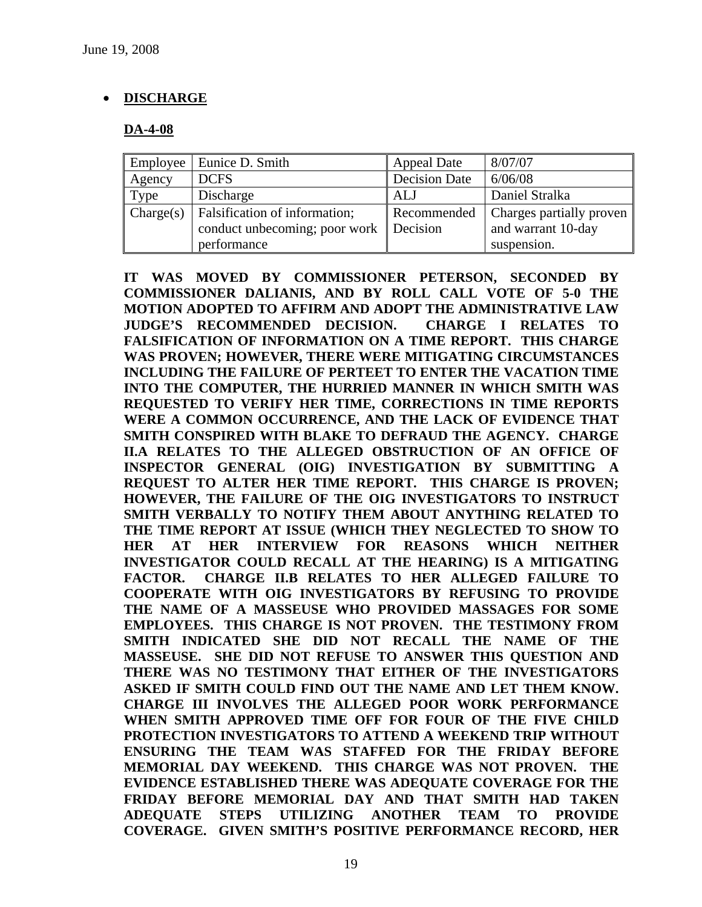# • **DISCHARGE**

## **DA-4-08**

| Employee  | Eunice D. Smith                                                | <b>Appeal Date</b>      | 8/07/07                                        |
|-----------|----------------------------------------------------------------|-------------------------|------------------------------------------------|
| Agency    | <b>DCFS</b>                                                    | <b>Decision Date</b>    | 6/06/08                                        |
| Type      | Discharge                                                      | <b>ALJ</b>              | Daniel Stralka                                 |
| Change(s) | Falsification of information;<br>conduct unbecoming; poor work | Recommended<br>Decision | Charges partially proven<br>and warrant 10-day |
|           | performance                                                    |                         | suspension.                                    |

**IT WAS MOVED BY COMMISSIONER PETERSON, SECONDED BY COMMISSIONER DALIANIS, AND BY ROLL CALL VOTE OF 5-0 THE MOTION ADOPTED TO AFFIRM AND ADOPT THE ADMINISTRATIVE LAW JUDGE'S RECOMMENDED DECISION. CHARGE I RELATES TO FALSIFICATION OF INFORMATION ON A TIME REPORT. THIS CHARGE WAS PROVEN; HOWEVER, THERE WERE MITIGATING CIRCUMSTANCES INCLUDING THE FAILURE OF PERTEET TO ENTER THE VACATION TIME INTO THE COMPUTER, THE HURRIED MANNER IN WHICH SMITH WAS REQUESTED TO VERIFY HER TIME, CORRECTIONS IN TIME REPORTS WERE A COMMON OCCURRENCE, AND THE LACK OF EVIDENCE THAT SMITH CONSPIRED WITH BLAKE TO DEFRAUD THE AGENCY. CHARGE II.A RELATES TO THE ALLEGED OBSTRUCTION OF AN OFFICE OF INSPECTOR GENERAL (OIG) INVESTIGATION BY SUBMITTING A REQUEST TO ALTER HER TIME REPORT. THIS CHARGE IS PROVEN; HOWEVER, THE FAILURE OF THE OIG INVESTIGATORS TO INSTRUCT SMITH VERBALLY TO NOTIFY THEM ABOUT ANYTHING RELATED TO THE TIME REPORT AT ISSUE (WHICH THEY NEGLECTED TO SHOW TO HER AT HER INTERVIEW FOR REASONS WHICH NEITHER INVESTIGATOR COULD RECALL AT THE HEARING) IS A MITIGATING FACTOR. CHARGE II.B RELATES TO HER ALLEGED FAILURE TO COOPERATE WITH OIG INVESTIGATORS BY REFUSING TO PROVIDE THE NAME OF A MASSEUSE WHO PROVIDED MASSAGES FOR SOME EMPLOYEES. THIS CHARGE IS NOT PROVEN. THE TESTIMONY FROM SMITH INDICATED SHE DID NOT RECALL THE NAME OF THE MASSEUSE. SHE DID NOT REFUSE TO ANSWER THIS QUESTION AND THERE WAS NO TESTIMONY THAT EITHER OF THE INVESTIGATORS ASKED IF SMITH COULD FIND OUT THE NAME AND LET THEM KNOW. CHARGE III INVOLVES THE ALLEGED POOR WORK PERFORMANCE WHEN SMITH APPROVED TIME OFF FOR FOUR OF THE FIVE CHILD PROTECTION INVESTIGATORS TO ATTEND A WEEKEND TRIP WITHOUT ENSURING THE TEAM WAS STAFFED FOR THE FRIDAY BEFORE MEMORIAL DAY WEEKEND. THIS CHARGE WAS NOT PROVEN. THE EVIDENCE ESTABLISHED THERE WAS ADEQUATE COVERAGE FOR THE FRIDAY BEFORE MEMORIAL DAY AND THAT SMITH HAD TAKEN ADEQUATE STEPS UTILIZING ANOTHER TEAM TO PROVIDE COVERAGE. GIVEN SMITH'S POSITIVE PERFORMANCE RECORD, HER**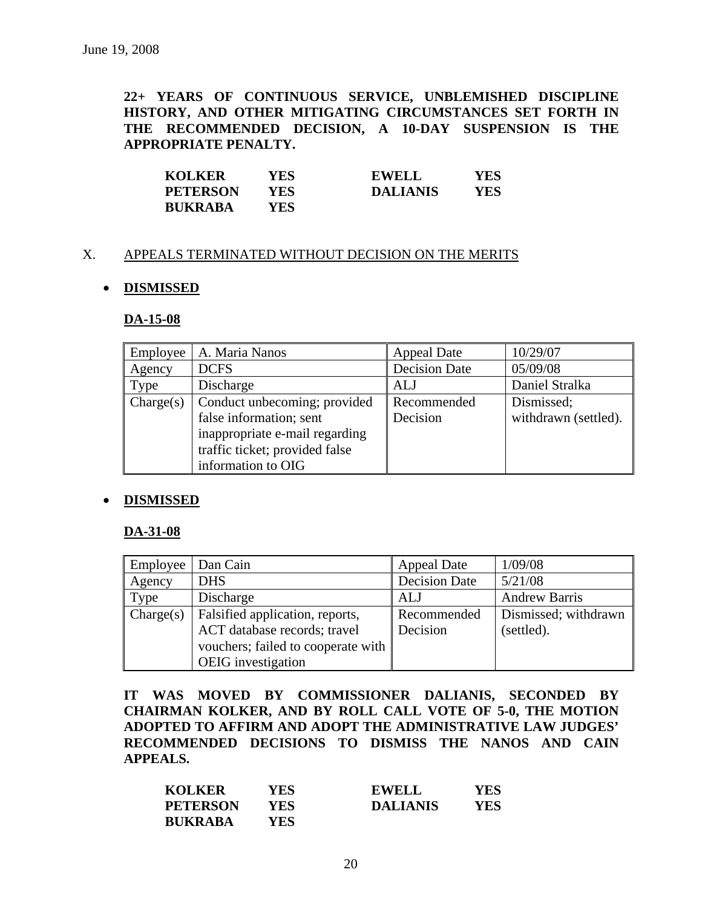**22+ YEARS OF CONTINUOUS SERVICE, UNBLEMISHED DISCIPLINE HISTORY, AND OTHER MITIGATING CIRCUMSTANCES SET FORTH IN THE RECOMMENDED DECISION, A 10-DAY SUSPENSION IS THE APPROPRIATE PENALTY.** 

| <b>KOLKER</b>   | YES | <b>EWELL</b>    | YES |
|-----------------|-----|-----------------|-----|
| <b>PETERSON</b> | YES | <b>DALIANIS</b> | YES |
| <b>BUKRABA</b>  | YES |                 |     |

## X. APPEALS TERMINATED WITHOUT DECISION ON THE MERITS

## • **DISMISSED**

#### **DA-15-08**

| Employee  | A. Maria Nanos                 | <b>Appeal Date</b>   | 10/29/07             |
|-----------|--------------------------------|----------------------|----------------------|
| Agency    | <b>DCFS</b>                    | <b>Decision Date</b> | 05/09/08             |
| Type      | Discharge                      | ALJ                  | Daniel Stralka       |
| Change(s) | Conduct unbecoming; provided   | Recommended          | Dismissed;           |
|           | false information; sent        | Decision             | withdrawn (settled). |
|           | inappropriate e-mail regarding |                      |                      |
|           | traffic ticket; provided false |                      |                      |
|           | information to OIG             |                      |                      |

### • **DISMISSED**

#### **DA-31-08**

| Employee  | Dan Cain                           | Appeal Date          | 1/09/08              |
|-----------|------------------------------------|----------------------|----------------------|
| Agency    | <b>DHS</b>                         | <b>Decision Date</b> | 5/21/08              |
| Type      | Discharge                          | ALJ                  | <b>Andrew Barris</b> |
| Change(s) | Falsified application, reports,    | Recommended          | Dismissed; withdrawn |
|           | ACT database records; travel       | Decision             | (settled).           |
|           | vouchers; failed to cooperate with |                      |                      |
|           | <b>OEIG</b> investigation          |                      |                      |

**IT WAS MOVED BY COMMISSIONER DALIANIS, SECONDED BY CHAIRMAN KOLKER, AND BY ROLL CALL VOTE OF 5-0, THE MOTION ADOPTED TO AFFIRM AND ADOPT THE ADMINISTRATIVE LAW JUDGES' RECOMMENDED DECISIONS TO DISMISS THE NANOS AND CAIN APPEALS.** 

| <b>KOLKER</b>   | YES  | <b>EWELL</b>    | YES |
|-----------------|------|-----------------|-----|
| <b>PETERSON</b> | YES  | <b>DALIANIS</b> | YES |
| <b>BUKRABA</b>  | YES. |                 |     |